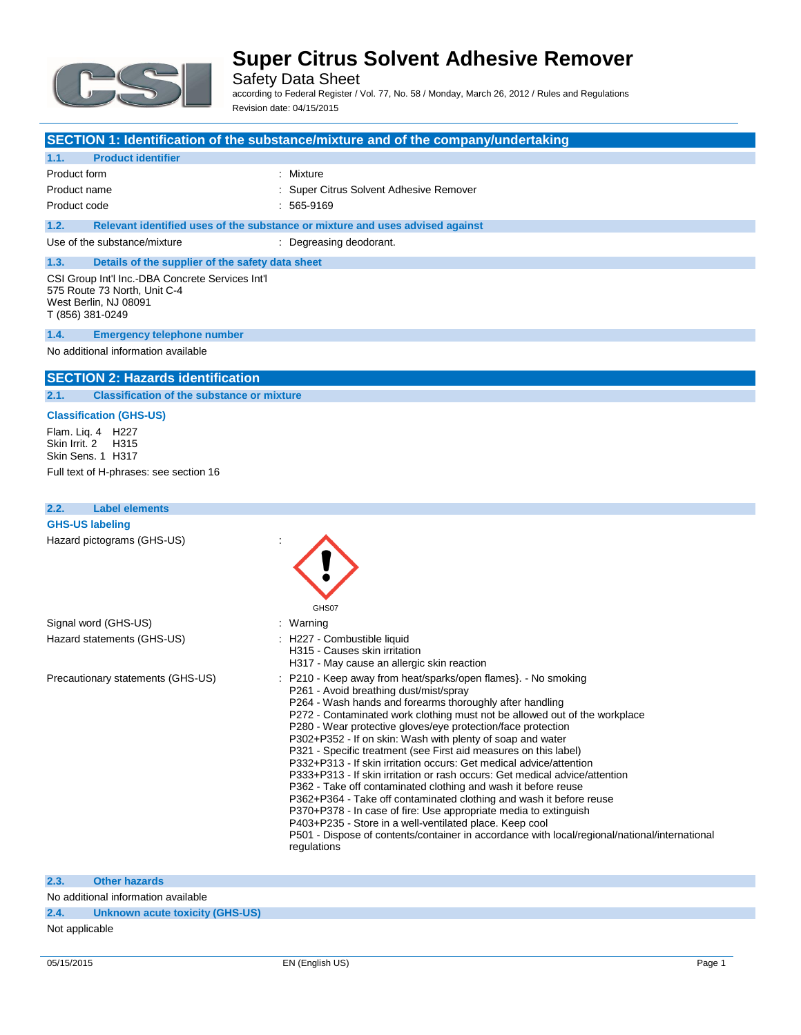

Safety Data Sheet according to Federal Register / Vol. 77, No. 58 / Monday, March 26, 2012 / Rules and Regulations

Revision date: 04/15/2015

#### **SECTION 1: Identification of the substance/mixture and of the company/undertaking**

### **1.1. Product identifier** Product form : Nixture Product name **in the super Citrus** Solvent Adhesive Remover Product code : 565-9169 **1.2. Relevant identified uses of the substance or mixture and uses advised against** Use of the substance/mixture : Degreasing deodorant. **1.3. Details of the supplier of the safety data sheet** CSI Group Int'l Inc.-DBA Concrete Services Int'l 575 Route 73 North, Unit C-4 West Berlin, NJ 08091 T (856) 381-0249

#### **1.4. Emergency telephone number**

#### No additional information available

#### **SECTION 2: Hazards identification**

**2.1. Classification of the substance or mixture**

#### **Classification (GHS-US)**

Flam. Liq. 4 H227 Skin Irrit. 2 H315 Skin Sens. 1 H317

Full text of H-phrases: see section 16

| 2.2.<br><b>Label elements</b>     |                                                                                                                                                                                                                                                                                                                                                                                                                                                                                                                                                                                                                                                                                                                                                                                                                                                                                                                                                                                                    |
|-----------------------------------|----------------------------------------------------------------------------------------------------------------------------------------------------------------------------------------------------------------------------------------------------------------------------------------------------------------------------------------------------------------------------------------------------------------------------------------------------------------------------------------------------------------------------------------------------------------------------------------------------------------------------------------------------------------------------------------------------------------------------------------------------------------------------------------------------------------------------------------------------------------------------------------------------------------------------------------------------------------------------------------------------|
| <b>GHS-US labeling</b>            |                                                                                                                                                                                                                                                                                                                                                                                                                                                                                                                                                                                                                                                                                                                                                                                                                                                                                                                                                                                                    |
| Hazard pictograms (GHS-US)        | GHS07                                                                                                                                                                                                                                                                                                                                                                                                                                                                                                                                                                                                                                                                                                                                                                                                                                                                                                                                                                                              |
| Signal word (GHS-US)              | : Warning                                                                                                                                                                                                                                                                                                                                                                                                                                                                                                                                                                                                                                                                                                                                                                                                                                                                                                                                                                                          |
| Hazard statements (GHS-US)        | : H227 - Combustible liquid<br>H315 - Causes skin irritation<br>H317 - May cause an allergic skin reaction                                                                                                                                                                                                                                                                                                                                                                                                                                                                                                                                                                                                                                                                                                                                                                                                                                                                                         |
| Precautionary statements (GHS-US) | : P210 - Keep away from heat/sparks/open flames}. - No smoking<br>P261 - Avoid breathing dust/mist/spray<br>P264 - Wash hands and forearms thoroughly after handling<br>P272 - Contaminated work clothing must not be allowed out of the workplace<br>P280 - Wear protective gloves/eye protection/face protection<br>P302+P352 - If on skin: Wash with plenty of soap and water<br>P321 - Specific treatment (see First aid measures on this label)<br>P332+P313 - If skin irritation occurs: Get medical advice/attention<br>P333+P313 - If skin irritation or rash occurs: Get medical advice/attention<br>P362 - Take off contaminated clothing and wash it before reuse<br>P362+P364 - Take off contaminated clothing and wash it before reuse<br>P370+P378 - In case of fire: Use appropriate media to extinguish<br>P403+P235 - Store in a well-ventilated place. Keep cool<br>P501 - Dispose of contents/container in accordance with local/regional/national/international<br>regulations |

**2.3. Other hazards**

No additional information available

**2.4. Unknown acute toxicity (GHS-US)**

Not applicable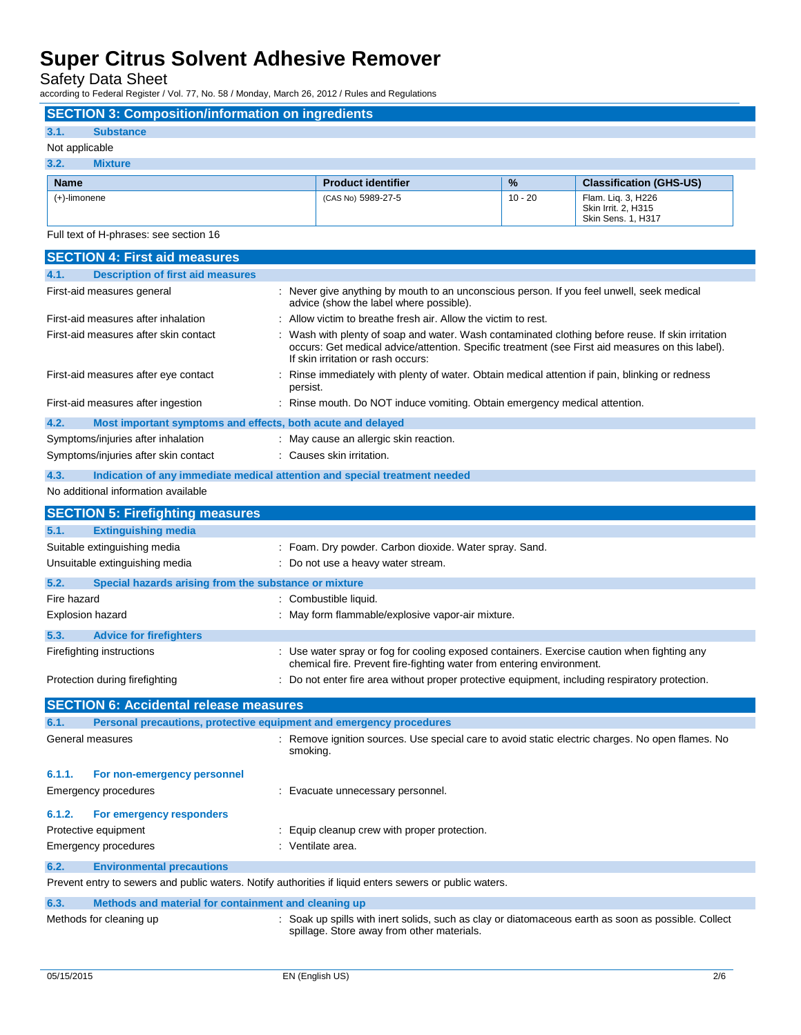Safety Data Sheet

according to Federal Register / Vol. 77, No. 58 / Monday, March 26, 2012 / Rules and Regulations

| according to Federal Hegister / Yol. 11, 190. 00 / Monday, March 20, 2012 / Harcs and Hegiation         |                                                                                                                                                                                                                                             |           |                                                                 |  |
|---------------------------------------------------------------------------------------------------------|---------------------------------------------------------------------------------------------------------------------------------------------------------------------------------------------------------------------------------------------|-----------|-----------------------------------------------------------------|--|
| <b>SECTION 3: Composition/information on ingredients</b>                                                |                                                                                                                                                                                                                                             |           |                                                                 |  |
| 3.1.<br><b>Substance</b>                                                                                |                                                                                                                                                                                                                                             |           |                                                                 |  |
| Not applicable                                                                                          |                                                                                                                                                                                                                                             |           |                                                                 |  |
| 3.2.<br><b>Mixture</b>                                                                                  |                                                                                                                                                                                                                                             |           |                                                                 |  |
| <b>Name</b>                                                                                             | <b>Product identifier</b>                                                                                                                                                                                                                   | %         | <b>Classification (GHS-US)</b>                                  |  |
| (+)-limonene                                                                                            | (CAS No) 5989-27-5                                                                                                                                                                                                                          | $10 - 20$ | Flam. Liq. 3, H226<br>Skin Irrit. 2, H315<br>Skin Sens. 1, H317 |  |
| Full text of H-phrases: see section 16                                                                  |                                                                                                                                                                                                                                             |           |                                                                 |  |
| <b>SECTION 4: First aid measures</b>                                                                    |                                                                                                                                                                                                                                             |           |                                                                 |  |
| 4.1.<br><b>Description of first aid measures</b>                                                        |                                                                                                                                                                                                                                             |           |                                                                 |  |
| First-aid measures general                                                                              | : Never give anything by mouth to an unconscious person. If you feel unwell, seek medical<br>advice (show the label where possible).                                                                                                        |           |                                                                 |  |
| First-aid measures after inhalation                                                                     | : Allow victim to breathe fresh air. Allow the victim to rest.                                                                                                                                                                              |           |                                                                 |  |
| First-aid measures after skin contact                                                                   | : Wash with plenty of soap and water. Wash contaminated clothing before reuse. If skin irritation<br>occurs: Get medical advice/attention. Specific treatment (see First aid measures on this label).<br>If skin irritation or rash occurs: |           |                                                                 |  |
| First-aid measures after eye contact                                                                    | Rinse immediately with plenty of water. Obtain medical attention if pain, blinking or redness<br>persist.                                                                                                                                   |           |                                                                 |  |
| First-aid measures after ingestion                                                                      | : Rinse mouth. Do NOT induce vomiting. Obtain emergency medical attention.                                                                                                                                                                  |           |                                                                 |  |
| 4.2.<br>Most important symptoms and effects, both acute and delayed                                     |                                                                                                                                                                                                                                             |           |                                                                 |  |
| Symptoms/injuries after inhalation                                                                      | : May cause an allergic skin reaction.                                                                                                                                                                                                      |           |                                                                 |  |
| Symptoms/injuries after skin contact                                                                    | : Causes skin irritation.                                                                                                                                                                                                                   |           |                                                                 |  |
| 4.3.                                                                                                    | Indication of any immediate medical attention and special treatment needed                                                                                                                                                                  |           |                                                                 |  |
| No additional information available                                                                     |                                                                                                                                                                                                                                             |           |                                                                 |  |
| <b>SECTION 5: Firefighting measures</b>                                                                 |                                                                                                                                                                                                                                             |           |                                                                 |  |
|                                                                                                         |                                                                                                                                                                                                                                             |           |                                                                 |  |
|                                                                                                         |                                                                                                                                                                                                                                             |           |                                                                 |  |
| 5.1.<br><b>Extinguishing media</b>                                                                      |                                                                                                                                                                                                                                             |           |                                                                 |  |
| Suitable extinguishing media                                                                            | : Foam. Dry powder. Carbon dioxide. Water spray. Sand.                                                                                                                                                                                      |           |                                                                 |  |
| Unsuitable extinguishing media                                                                          | : Do not use a heavy water stream.                                                                                                                                                                                                          |           |                                                                 |  |
| 5.2.<br>Special hazards arising from the substance or mixture                                           |                                                                                                                                                                                                                                             |           |                                                                 |  |
| Fire hazard                                                                                             | Combustible liquid.                                                                                                                                                                                                                         |           |                                                                 |  |
| Explosion hazard                                                                                        | : May form flammable/explosive vapor-air mixture.                                                                                                                                                                                           |           |                                                                 |  |
| 5.3.<br><b>Advice for firefighters</b>                                                                  |                                                                                                                                                                                                                                             |           |                                                                 |  |
| Firefighting instructions                                                                               | : Use water spray or fog for cooling exposed containers. Exercise caution when fighting any                                                                                                                                                 |           |                                                                 |  |
| Protection during firefighting                                                                          | chemical fire. Prevent fire-fighting water from entering environment.<br>Do not enter fire area without proper protective equipment, including respiratory protection.                                                                      |           |                                                                 |  |
|                                                                                                         |                                                                                                                                                                                                                                             |           |                                                                 |  |
| <b>SECTION 6: Accidental release measures</b><br>6.1.                                                   |                                                                                                                                                                                                                                             |           |                                                                 |  |
| Personal precautions, protective equipment and emergency procedures<br>General measures                 | : Remove ignition sources. Use special care to avoid static electric charges. No open flames. No<br>smoking.                                                                                                                                |           |                                                                 |  |
| 6.1.1.<br>For non-emergency personnel                                                                   |                                                                                                                                                                                                                                             |           |                                                                 |  |
| Emergency procedures                                                                                    | : Evacuate unnecessary personnel.                                                                                                                                                                                                           |           |                                                                 |  |
| 6.1.2.<br>For emergency responders                                                                      |                                                                                                                                                                                                                                             |           |                                                                 |  |
| Protective equipment                                                                                    | : Equip cleanup crew with proper protection.                                                                                                                                                                                                |           |                                                                 |  |
| Emergency procedures                                                                                    | : Ventilate area.                                                                                                                                                                                                                           |           |                                                                 |  |
| 6.2.<br><b>Environmental precautions</b>                                                                |                                                                                                                                                                                                                                             |           |                                                                 |  |
| Prevent entry to sewers and public waters. Notify authorities if liquid enters sewers or public waters. |                                                                                                                                                                                                                                             |           |                                                                 |  |
| 6.3.                                                                                                    |                                                                                                                                                                                                                                             |           |                                                                 |  |
| Methods and material for containment and cleaning up<br>Methods for cleaning up                         | : Soak up spills with inert solids, such as clay or diatomaceous earth as soon as possible. Collect                                                                                                                                         |           |                                                                 |  |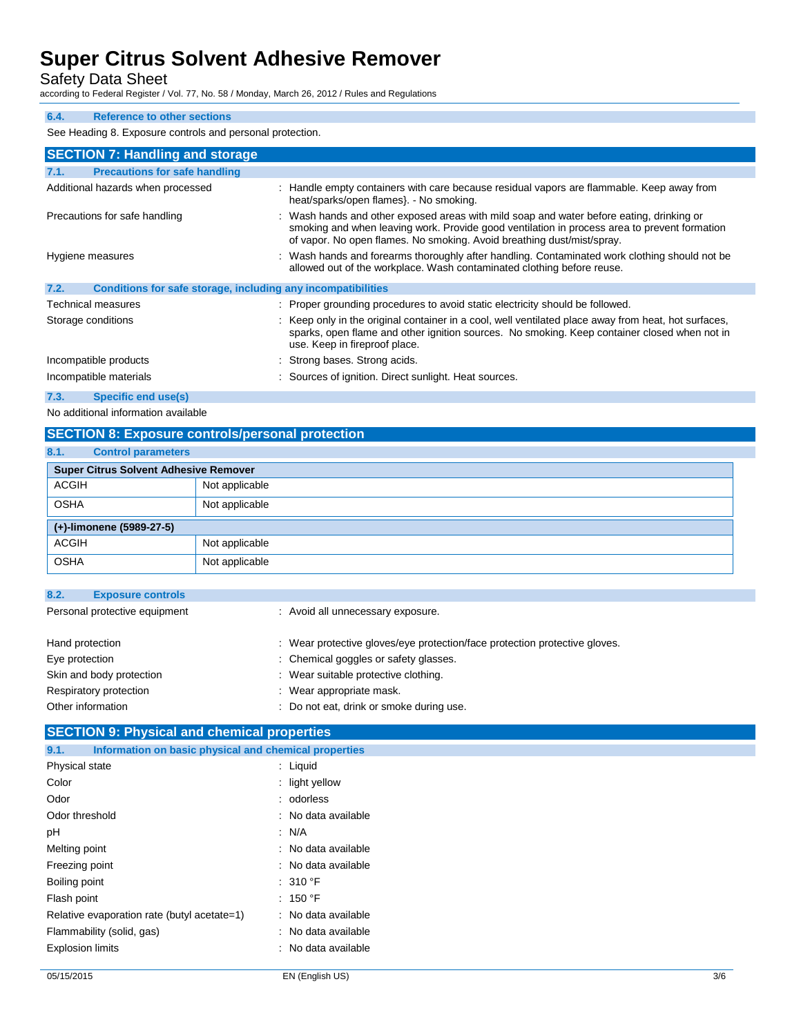Safety Data Sheet

according to Federal Register / Vol. 77, No. 58 / Monday, March 26, 2012 / Rules and Regulations

#### **6.4. Reference to other sections**

See Heading 8. Exposure controls and personal protection.

| <b>SECTION 7: Handling and storage</b>                               |                                                                                                                                                                                                                                                                    |
|----------------------------------------------------------------------|--------------------------------------------------------------------------------------------------------------------------------------------------------------------------------------------------------------------------------------------------------------------|
| <b>Precautions for safe handling</b><br>7.1.                         |                                                                                                                                                                                                                                                                    |
| Additional hazards when processed                                    | : Handle empty containers with care because residual vapors are flammable. Keep away from<br>heat/sparks/open flames}. - No smoking.                                                                                                                               |
| Precautions for safe handling                                        | : Wash hands and other exposed areas with mild soap and water before eating, drinking or<br>smoking and when leaving work. Provide good ventilation in process area to prevent formation<br>of vapor. No open flames. No smoking. Avoid breathing dust/mist/spray. |
| Hygiene measures                                                     | : Wash hands and forearms thoroughly after handling. Contaminated work clothing should not be<br>allowed out of the workplace. Wash contaminated clothing before reuse.                                                                                            |
| 7.2.<br>Conditions for safe storage, including any incompatibilities |                                                                                                                                                                                                                                                                    |
| <b>Technical measures</b>                                            | : Proper grounding procedures to avoid static electricity should be followed.                                                                                                                                                                                      |
| Storage conditions                                                   | : Keep only in the original container in a cool, well ventilated place away from heat, hot surfaces,<br>sparks, open flame and other ignition sources. No smoking. Keep container closed when not in<br>use. Keep in fireproof place.                              |
| Incompatible products                                                | : Strong bases. Strong acids.                                                                                                                                                                                                                                      |
| Incompatible materials                                               | : Sources of ignition. Direct sunlight. Heat sources.                                                                                                                                                                                                              |

#### **7.3. Specific end use(s)**

No additional information available

## **SECTION 8: Exposure controls/personal protection**

| 8.1.         | <b>Control parameters</b>                    |                |  |
|--------------|----------------------------------------------|----------------|--|
|              | <b>Super Citrus Solvent Adhesive Remover</b> |                |  |
| <b>ACGIH</b> |                                              | Not applicable |  |
| <b>OSHA</b>  |                                              | Not applicable |  |
|              | (+)-limonene (5989-27-5)                     |                |  |
| <b>ACGIH</b> |                                              | Not applicable |  |
| <b>OSHA</b>  |                                              | Not applicable |  |

| : Avoid all unnecessary exposure.                                          |
|----------------------------------------------------------------------------|
| : Wear protective gloves/eye protection/face protection protective gloves. |
| : Chemical goggles or safety glasses.                                      |
| : Wear suitable protective clothing.                                       |
| : Wear appropriate mask.                                                   |
| : Do not eat, drink or smoke during use.                                   |
|                                                                            |

## **SECTION 9: Physical and chemical properties**

| Information on basic physical and chemical properties<br>9.1. |                     |
|---------------------------------------------------------------|---------------------|
| Physical state                                                | : Liquid            |
| Color                                                         | $:$ light yellow    |
| Odor                                                          | : odorless          |
| Odor threshold                                                | : No data available |
| рH                                                            | : N/A               |
| Melting point                                                 | : No data available |
| Freezing point                                                | : No data available |
| Boiling point                                                 | : 310 °F            |
| Flash point                                                   | : 150 °F            |
| Relative evaporation rate (butyl acetate=1)                   | : No data available |
| Flammability (solid, gas)                                     | : No data available |
| <b>Explosion limits</b>                                       | : No data available |
|                                                               |                     |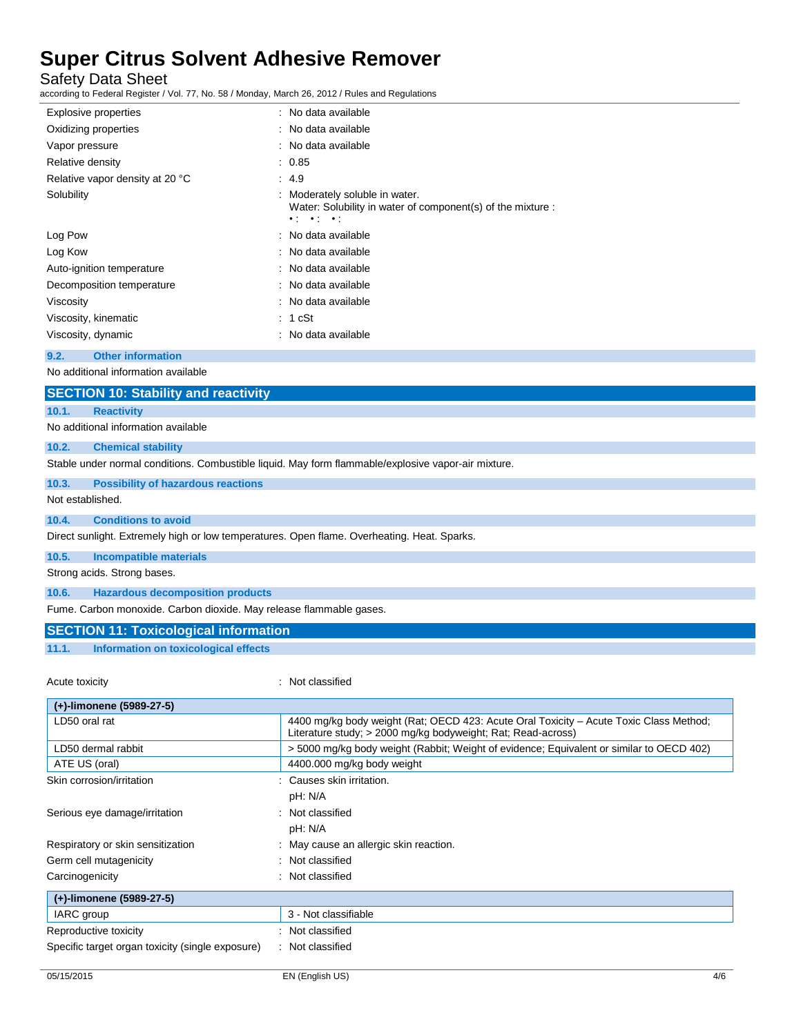Safety Data Sheet

according to Federal Register / Vol. 77, No. 58 / Monday, March 26, 2012 / Rules and Regulations

| <b>Explosive properties</b>     | : No data available                                                                                                                |
|---------------------------------|------------------------------------------------------------------------------------------------------------------------------------|
| Oxidizing properties            | : No data available                                                                                                                |
| Vapor pressure                  | : No data available                                                                                                                |
| Relative density                | : 0.85                                                                                                                             |
| Relative vapor density at 20 °C | : 4.9                                                                                                                              |
| Solubility                      | Moderately soluble in water.<br>Water: Solubility in water of component(s) of the mixture :<br>$\bullet$ ( $\bullet$ ) $\bullet$ ( |
| Log Pow                         | : No data available                                                                                                                |
| Log Kow                         | : No data available                                                                                                                |
| Auto-ignition temperature       | : No data available                                                                                                                |
| Decomposition temperature       | : No data available                                                                                                                |
| Viscosity                       | : No data available                                                                                                                |
| Viscosity, kinematic            | : 1 cSt                                                                                                                            |
| Viscosity, dynamic              | No data available                                                                                                                  |

#### **9.2. Other information**

No additional information available

| <b>SECTION 10: Stability and reactivity</b>                                                         |                                     |  |
|-----------------------------------------------------------------------------------------------------|-------------------------------------|--|
| 10.1.                                                                                               | <b>Reactivity</b>                   |  |
|                                                                                                     | No additional information available |  |
| 10.2.                                                                                               | <b>Chemical stability</b>           |  |
| Stable under normal conditions. Combustible liquid. May form flammable/explosive vapor-air mixture. |                                     |  |

#### **10.3. Possibility of hazardous reactions**

Not established.

#### **10.4. Conditions to avoid**

Direct sunlight. Extremely high or low temperatures. Open flame. Overheating. Heat. Sparks.

#### **10.5. Incompatible materials**

Strong acids. Strong bases.

**10.6. Hazardous decomposition products**

Fume. Carbon monoxide. Carbon dioxide. May release flammable gases.

#### **SECTION 11: Toxicological information**

**11.1. Information on toxicological effects**

#### Acute toxicity in the contract of the classified in the classified in the classified in the classified in the classified in the classified in the classified in the contract of the contract of the contract of the contract o

| (+)-limonene (5989-27-5)                         |                                                                                                                                                        |
|--------------------------------------------------|--------------------------------------------------------------------------------------------------------------------------------------------------------|
| LD50 oral rat                                    | 4400 mg/kg body weight (Rat: OECD 423: Acute Oral Toxicity – Acute Toxic Class Method:<br>Literature study; > 2000 mg/kg bodyweight; Rat; Read-across) |
| LD50 dermal rabbit                               | >5000 mg/kg body weight (Rabbit; Weight of evidence; Equivalent or similar to OECD 402)                                                                |
| ATE US (oral)                                    | 4400.000 mg/kg body weight                                                                                                                             |
| Skin corrosion/irritation                        | Causes skin irritation.                                                                                                                                |
|                                                  | pH: N/A                                                                                                                                                |
| Serious eye damage/irritation                    | : Not classified                                                                                                                                       |
|                                                  | pH: N/A                                                                                                                                                |
| Respiratory or skin sensitization                | : May cause an allergic skin reaction.                                                                                                                 |
| Germ cell mutagenicity                           | : Not classified                                                                                                                                       |
| Carcinogenicity                                  | : Not classified                                                                                                                                       |
| (+)-limonene (5989-27-5)                         |                                                                                                                                                        |
| IARC group                                       | 3 - Not classifiable                                                                                                                                   |
| Reproductive toxicity                            | : Not classified                                                                                                                                       |
| Specific target organ toxicity (single exposure) | : Not classified                                                                                                                                       |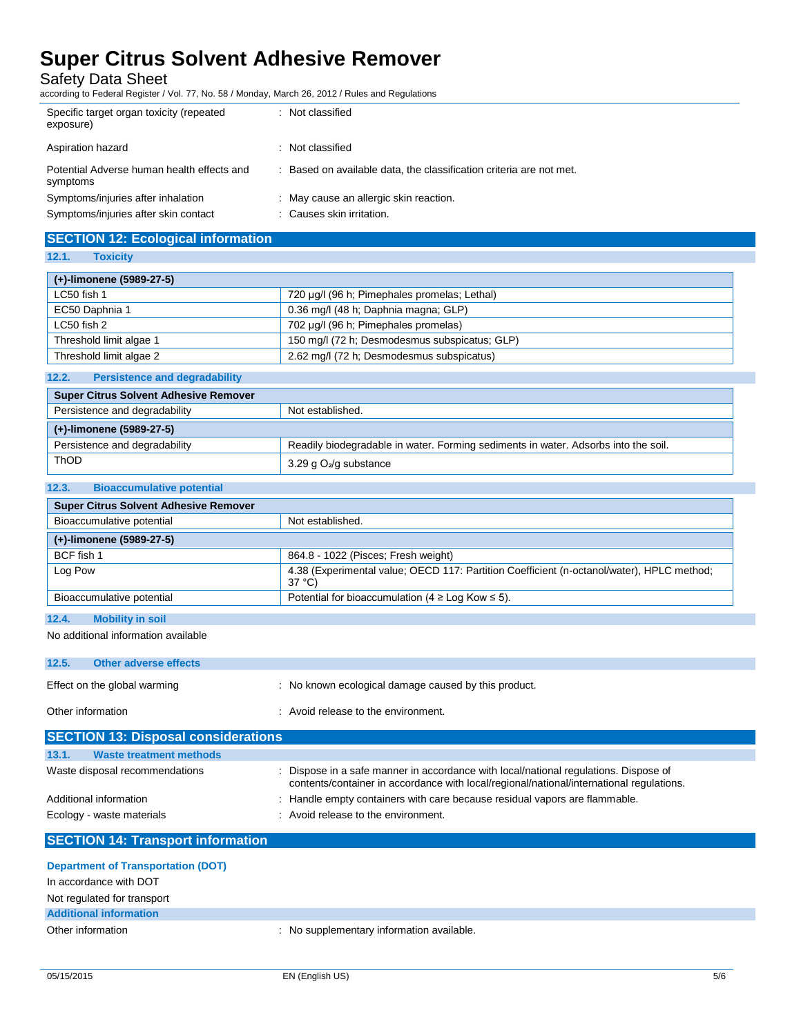Safety Data Sheet

according to Federal Register / Vol. 77, No. 58 / Monday, March 26, 2012 / Rules and Regulations

| Specific target organ toxicity (repeated<br>exposure)  | : Not classified                                                    |
|--------------------------------------------------------|---------------------------------------------------------------------|
| Aspiration hazard                                      | : Not classified                                                    |
| Potential Adverse human health effects and<br>symptoms | : Based on available data, the classification criteria are not met. |
| Symptoms/injuries after inhalation                     | : May cause an allergic skin reaction.                              |
| Symptoms/injuries after skin contact                   | : Causes skin irritation.                                           |

## **SECTION 12: Ecological information**

**12.1. Toxicity**

| (+)-limonene (5989-27-5) |                                               |  |
|--------------------------|-----------------------------------------------|--|
| LC50 fish 1              | 720 µg/l (96 h; Pimephales promelas; Lethal)  |  |
| EC50 Daphnia 1           | 0.36 mg/l (48 h; Daphnia magna; GLP)          |  |
| LC50 fish 2              | 702 µg/l (96 h; Pimephales promelas)          |  |
| Threshold limit algae 1  | 150 mg/l (72 h; Desmodesmus subspicatus; GLP) |  |
| Threshold limit algae 2  | 2.62 mg/l (72 h; Desmodesmus subspicatus)     |  |

### **12.2. Persistence and degradability**

| Super Citrus Solvent Adhesive Remover |                                                                                    |
|---------------------------------------|------------------------------------------------------------------------------------|
| Persistence and degradability         | Not established.                                                                   |
| (+)-limonene (5989-27-5)              |                                                                                    |
| Persistence and degradability         | Readily biodegradable in water. Forming sediments in water. Adsorbs into the soil. |
| <b>ThOD</b>                           | 3.29 g O <sub>2</sub> /g substance                                                 |

#### **12.3. Bioaccumulative potential**

| <b>Super Citrus Solvent Adhesive Remover</b> |                                                                                                     |
|----------------------------------------------|-----------------------------------------------------------------------------------------------------|
| Bioaccumulative potential                    | Not established.                                                                                    |
| (+)-limonene (5989-27-5)                     |                                                                                                     |
| BCF fish 1                                   | 864.8 - 1022 (Pisces; Fresh weight)                                                                 |
| Log Pow                                      | 4.38 (Experimental value: OECD 117: Partition Coefficient (n-octanol/water), HPLC method;<br>37 °C) |
| Bioaccumulative potential                    | Potential for bioaccumulation (4 $\geq$ Log Kow $\leq$ 5).                                          |
|                                              |                                                                                                     |

#### **12.4. Mobility in soil**

No additional information available

| <b>SECTION 13: Disposal considerations</b> |                              |                                                      |
|--------------------------------------------|------------------------------|------------------------------------------------------|
| Other information                          |                              | : Avoid release to the environment.                  |
|                                            | Effect on the global warming | : No known ecological damage caused by this product. |
| 12.5.                                      | Other adverse effects        |                                                      |
|                                            |                              |                                                      |

| 13.1. | Waste treatment methods        |                                                                                                                                                                                |
|-------|--------------------------------|--------------------------------------------------------------------------------------------------------------------------------------------------------------------------------|
|       | Waste disposal recommendations | Dispose in a safe manner in accordance with local/national regulations. Dispose of<br>contents/container in accordance with local/regional/national/international regulations. |
|       | Additional information         | Handle empty containers with care because residual vapors are flammable.                                                                                                       |
|       | Ecology - waste materials      | : Avoid release to the environment.                                                                                                                                            |

# **SECTION 14: Transport information**

| <b>Department of Transportation (DOT)</b><br>In accordance with DOT |                                           |
|---------------------------------------------------------------------|-------------------------------------------|
| Not regulated for transport                                         |                                           |
| <b>Additional information</b>                                       |                                           |
| Other information                                                   | : No supplementary information available. |